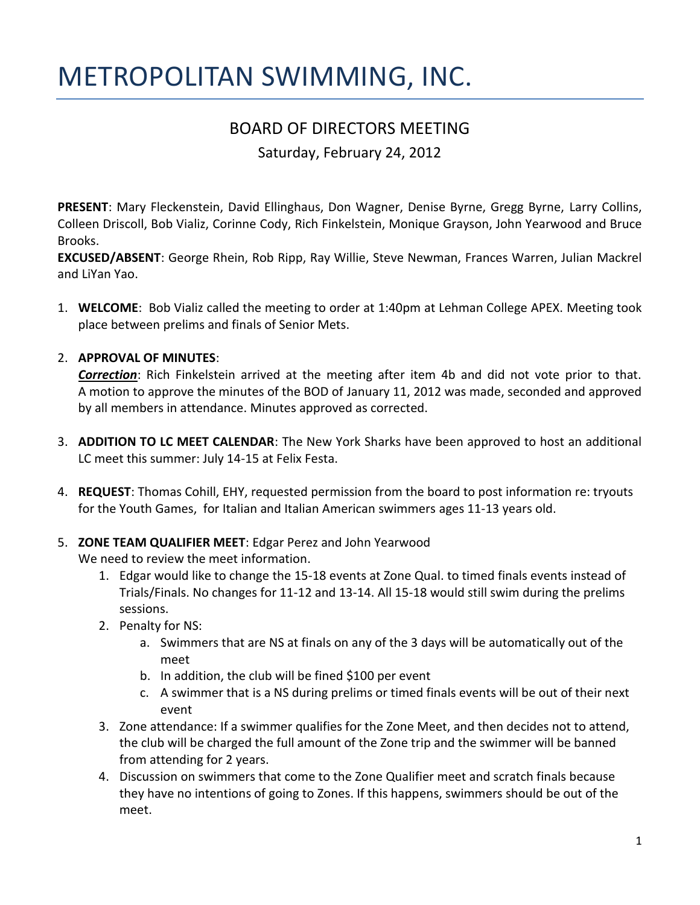# METROPOLITAN SWIMMING, INC.

# BOARD OF DIRECTORS MEETING

Saturday, February 24, 2012

**PRESENT**: Mary Fleckenstein, David Ellinghaus, Don Wagner, Denise Byrne, Gregg Byrne, Larry Collins, Colleen Driscoll, Bob Vializ, Corinne Cody, Rich Finkelstein, Monique Grayson, John Yearwood and Bruce Brooks.

**EXCUSED/ABSENT**: George Rhein, Rob Ripp, Ray Willie, Steve Newman, Frances Warren, Julian Mackrel and LiYan Yao.

1. **WELCOME**: Bob Vializ called the meeting to order at 1:40pm at Lehman College APEX. Meeting took place between prelims and finals of Senior Mets.

#### 2. **APPROVAL OF MINUTES**:

*Correction*: Rich Finkelstein arrived at the meeting after item 4b and did not vote prior to that. A motion to approve the minutes of the BOD of January 11, 2012 was made, seconded and approved by all members in attendance. Minutes approved as corrected.

- 3. **ADDITION TO LC MEET CALENDAR**: The New York Sharks have been approved to host an additional LC meet this summer: July 14-15 at Felix Festa.
- 4. **REQUEST**: Thomas Cohill, EHY, requested permission from the board to post information re: tryouts for the Youth Games, for Italian and Italian American swimmers ages 11-13 years old.
- 5. **ZONE TEAM QUALIFIER MEET**: Edgar Perez and John Yearwood

We need to review the meet information.

- 1. Edgar would like to change the 15-18 events at Zone Qual. to timed finals events instead of Trials/Finals. No changes for 11-12 and 13-14. All 15-18 would still swim during the prelims sessions.
- 2. Penalty for NS:
	- a. Swimmers that are NS at finals on any of the 3 days will be automatically out of the meet
	- b. In addition, the club will be fined \$100 per event
	- c. A swimmer that is a NS during prelims or timed finals events will be out of their next event
- 3. Zone attendance: If a swimmer qualifies for the Zone Meet, and then decides not to attend, the club will be charged the full amount of the Zone trip and the swimmer will be banned from attending for 2 years.
- 4. Discussion on swimmers that come to the Zone Qualifier meet and scratch finals because they have no intentions of going to Zones. If this happens, swimmers should be out of the meet.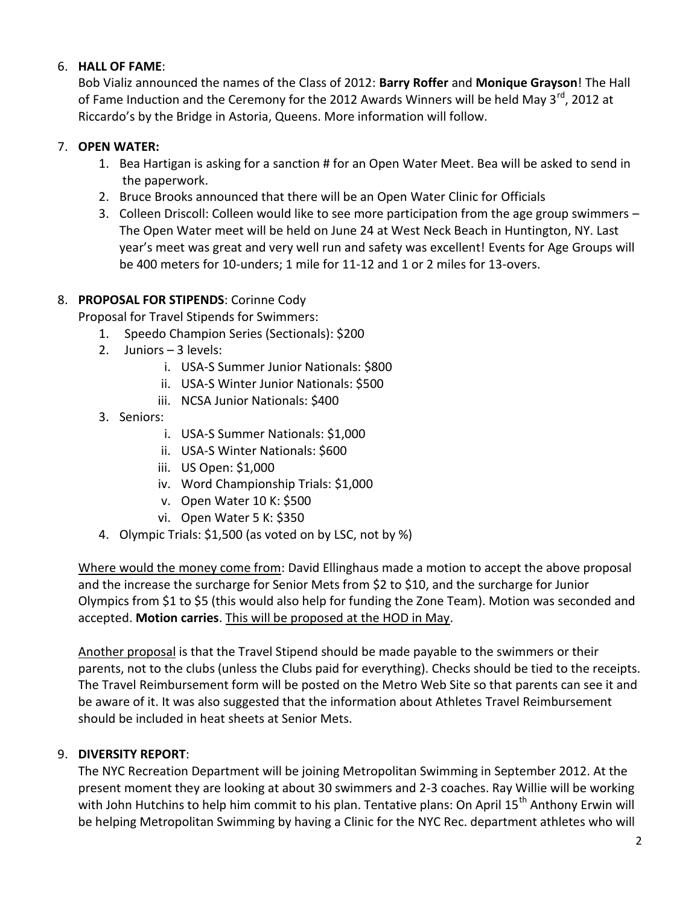#### 6. **HALL OF FAME**:

Bob Vializ announced the names of the Class of 2012: **Barry Roffer** and **Monique Grayson**! The Hall of Fame Induction and the Ceremony for the 2012 Awards Winners will be held May 3<sup>rd</sup>, 2012 at Riccardo's by the Bridge in Astoria, Queens. More information will follow.

#### 7. **OPEN WATER:**

- 1. Bea Hartigan is asking for a sanction # for an Open Water Meet. Bea will be asked to send in the paperwork.
- 2. Bruce Brooks announced that there will be an Open Water Clinic for Officials
- 3. Colleen Driscoll: Colleen would like to see more participation from the age group swimmers The Open Water meet will be held on June 24 at West Neck Beach in Huntington, NY. Last year's meet was great and very well run and safety was excellent! Events for Age Groups will be 400 meters for 10-unders; 1 mile for 11-12 and 1 or 2 miles for 13-overs.

#### 8. **PROPOSAL FOR STIPENDS**: Corinne Cody

Proposal for Travel Stipends for Swimmers:

- 1. Speedo Champion Series (Sectionals): \$200
- 2. Juniors 3 levels:
	- i. USA-S Summer Junior Nationals: \$800
	- ii. USA-S Winter Junior Nationals: \$500
	- iii. NCSA Junior Nationals: \$400
- 3. Seniors:
	- i. USA-S Summer Nationals: \$1,000
	- ii. USA-S Winter Nationals: \$600
	- iii. US Open: \$1,000
	- iv. Word Championship Trials: \$1,000
	- v. Open Water 10 K: \$500
	- vi. Open Water 5 K: \$350
- 4. Olympic Trials: \$1,500 (as voted on by LSC, not by %)

Where would the money come from: David Ellinghaus made a motion to accept the above proposal and the increase the surcharge for Senior Mets from \$2 to \$10, and the surcharge for Junior Olympics from \$1 to \$5 (this would also help for funding the Zone Team). Motion was seconded and accepted. **Motion carries**. This will be proposed at the HOD in May.

Another proposal is that the Travel Stipend should be made payable to the swimmers or their parents, not to the clubs (unless the Clubs paid for everything). Checks should be tied to the receipts. The Travel Reimbursement form will be posted on the Metro Web Site so that parents can see it and be aware of it. It was also suggested that the information about Athletes Travel Reimbursement should be included in heat sheets at Senior Mets.

### 9. **DIVERSITY REPORT**:

The NYC Recreation Department will be joining Metropolitan Swimming in September 2012. At the present moment they are looking at about 30 swimmers and 2-3 coaches. Ray Willie will be working with John Hutchins to help him commit to his plan. Tentative plans: On April 15<sup>th</sup> Anthony Erwin will be helping Metropolitan Swimming by having a Clinic for the NYC Rec. department athletes who will